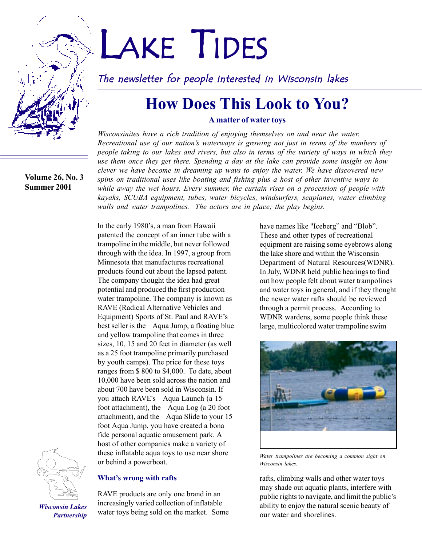#### **Volume 26, No. 3 Summer 2001**

# LAKE TIDES

The newsletter for people interested in Wisconsin lakes

## **How Does This Look to You?**

#### **A matter of water toys**

*Wisconsinites have a rich tradition of enjoying themselves on and near the water. Recreational use of our nationís waterways is growing not just in terms of the numbers of people taking to our lakes and rivers, but also in terms of the variety of ways in which they use them once they get there. Spending a day at the lake can provide some insight on how clever we have become in dreaming up ways to enjoy the water. We have discovered new spins on traditional uses like boating and fishing plus a host of other inventive ways to while away the wet hours. Every summer, the curtain rises on a procession of people with kayaks, SCUBA equipment, tubes, water bicycles, windsurfers, seaplanes, water climbing walls and water trampolines. The actors are in place; the play begins.*

In the early 1980's, a man from Hawaii patented the concept of an inner tube with a trampoline in the middle, but never followed through with the idea. In 1997, a group from Minnesota that manufactures recreational products found out about the lapsed patent. The company thought the idea had great potential and produced the first production water trampoline. The company is known as RAVE (Radical Alternative Vehicles and Equipment) Sports of St. Paul and RAVE's best seller is the <sup>M</sup>Aqua Jump, a floating blue and yellow trampoline that comes in three sizes, 10, 15 and 20 feet in diameter (as well as a 25 foot trampoline primarily purchased by youth camps). The price for these toys ranges from \$ 800 to \$4,000. To date, about 10,000 have been sold across the nation and about 700 have been sold in Wisconsin. If you attach RAVE's ™Aqua Launch (a 15 foot attachment), the  $MAqua Log (a 20 foot)$ attachment), and the  $M$ Aqua Slide to your 15 foot Aqua Jump, you have created a bona fide personal aquatic amusement park. A host of other companies make a variety of these inflatable aqua toys to use near shore or behind a powerboat.



*Wisconsin Lakes Partnership*

#### **What's wrong with rafts**

RAVE products are only one brand in an increasingly varied collection of inflatable water toys being sold on the market. Some have names like "Iceberg" and "Blob". These and other types of recreational equipment are raising some eyebrows along the lake shore and within the Wisconsin Department of Natural Resources(WDNR). In July, WDNR held public hearings to find out how people felt about water trampolines and water toys in general, and if they thought the newer water rafts should be reviewed through a permit process. According to WDNR wardens, some people think these large, multicolored water trampoline swim



*Water trampolines are becoming a common sight on Wisconsin lakes.*

rafts, climbing walls and other water toys may shade out aquatic plants, interfere with public rights to navigate, and limit the public's ability to enjoy the natural scenic beauty of our water and shorelines.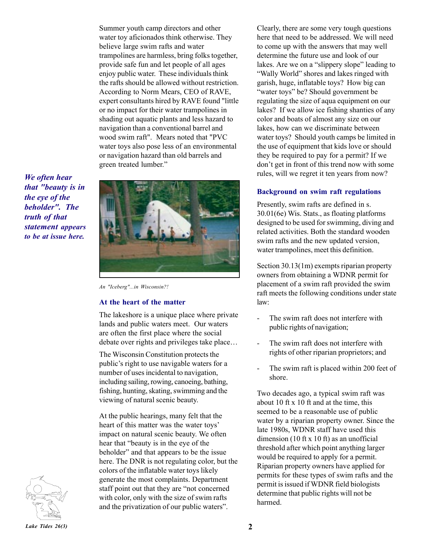Summer youth camp directors and other water toy aficionados think otherwise. They believe large swim rafts and water trampolines are harmless, bring folks together, provide safe fun and let people of all ages enjoy public water. These individuals think the rafts should be allowed without restriction. According to Norm Mears, CEO of RAVE, expert consultants hired by RAVE found "little or no impact for their water trampolines in shading out aquatic plants and less hazard to navigation than a conventional barrel and wood swim raft". Mears noted that "PVC water toys also pose less of an environmental or navigation hazard than old barrels and green treated lumber."

*We often hear that "beauty is in the eye of the beholder". The truth of that statement appears to be at issue here.*



*An "Iceberg"...in Wisconsin?!*

#### **At the heart of the matter**

The lakeshore is a unique place where private lands and public waters meet. Our waters are often the first place where the social debate over rights and privileges take place...

The Wisconsin Constitution protects the public's right to use navigable waters for a number of uses incidental to navigation, including sailing, rowing, canoeing, bathing, fishing, hunting, skating, swimming and the viewing of natural scenic beauty.

At the public hearings, many felt that the heart of this matter was the water toys' impact on natural scenic beauty. We often hear that "beauty is in the eye of the beholder" and that appears to be the issue here. The DNR is not regulating color, but the colors of the inflatable water toys likely generate the most complaints. Department staff point out that they are "not concerned with color, only with the size of swim rafts and the privatization of our public waters".

Clearly, there are some very tough questions here that need to be addressed. We will need to come up with the answers that may well determine the future use and look of our lakes. Are we on a "slippery slope" leading to "Wally World" shores and lakes ringed with garish, huge, inflatable toys? How big can "water toys" be? Should government be regulating the size of aqua equipment on our lakes? If we allow ice fishing shanties of any color and boats of almost any size on our lakes, how can we discriminate between water toys? Should youth camps be limited in the use of equipment that kids love or should they be required to pay for a permit? If we don't get in front of this trend now with some rules, will we regret it ten years from now?

#### **Background on swim raft regulations**

Presently, swim rafts are defined in s. 30.01(6e) Wis. Stats., as floating platforms designed to be used for swimming, diving and related activities. Both the standard wooden swim rafts and the new updated version, water trampolines, meet this definition.

Section 30.13(1m) exempts riparian property owners from obtaining a WDNR permit for placement of a swim raft provided the swim raft meets the following conditions under state law:

- The swim raft does not interfere with public rights of navigation;
- The swim raft does not interfere with rights of other riparian proprietors; and
- The swim raft is placed within 200 feet of shore.

Two decades ago, a typical swim raft was about 10 ft x 10 ft and at the time, this seemed to be a reasonable use of public water by a riparian property owner. Since the late 1980s, WDNR staff have used this dimension (10 ft x 10 ft) as an unofficial threshold after which point anything larger would be required to apply for a permit. Riparian property owners have applied for permits for these types of swim rafts and the permit is issued if WDNR field biologists determine that public rights will not be harmed.

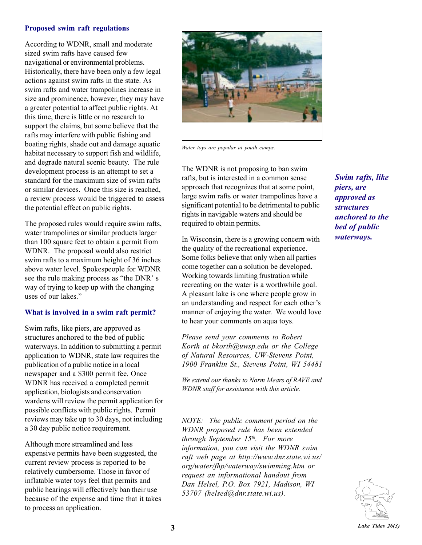#### **Proposed swim raft regulations**

According to WDNR, small and moderate sized swim rafts have caused few navigational or environmental problems. Historically, there have been only a few legal actions against swim rafts in the state. As swim rafts and water trampolines increase in size and prominence, however, they may have a greater potential to affect public rights. At this time, there is little or no research to support the claims, but some believe that the rafts may interfere with public fishing and boating rights, shade out and damage aquatic habitat necessary to support fish and wildlife, and degrade natural scenic beauty. The rule development process is an attempt to set a standard for the maximum size of swim rafts or similar devices. Once this size is reached, a review process would be triggered to assess the potential effect on public rights.

The proposed rules would require swim rafts, water trampolines or similar products larger than 100 square feet to obtain a permit from WDNR. The proposal would also restrict swim rafts to a maximum height of 36 inches above water level. Spokespeople for WDNR see the rule making process as "the DNR' s way of trying to keep up with the changing uses of our lakes."

#### **What is involved in a swim raft permit?**

Swim rafts, like piers, are approved as structures anchored to the bed of public waterways. In addition to submitting a permit application to WDNR, state law requires the publication of a public notice in a local newspaper and a \$300 permit fee. Once WDNR has received a completed permit application, biologists and conservation wardens will review the permit application for possible conflicts with public rights. Permit reviews may take up to 30 days, not including a 30 day public notice requirement.

Although more streamlined and less expensive permits have been suggested, the current review process is reported to be relatively cumbersome. Those in favor of inflatable water toys feel that permits and public hearings will effectively ban their use because of the expense and time that it takes to process an application.



*Water toys are popular at youth camps.*

The WDNR is not proposing to ban swim rafts, but is interested in a common sense approach that recognizes that at some point, large swim rafts or water trampolines have a significant potential to be detrimental to public rights in navigable waters and should be required to obtain permits.

In Wisconsin, there is a growing concern with the quality of the recreational experience. Some folks believe that only when all parties come together can a solution be developed. Working towards limiting frustration while recreating on the water is a worthwhile goal. A pleasant lake is one where people grow in an understanding and respect for each other's manner of enjoying the water. We would love to hear your comments on aqua toys.

*Please send your comments to Robert Korth at bkorth@uwsp.edu or the College of Natural Resources, UW-Stevens Point, 1900 Franklin St., Stevens Point, WI 54481*

*We extend our thanks to Norm Mears of RAVE and WDNR staff for assistance with this article.*

*NOTE: The public comment period on the WDNR proposed rule has been extended through September 15th. For more information, you can visit the WDNR swim raft web page at http://www.dnr.state.wi.us/ org/water/fhp/waterway/swimming.htm or request an informational handout from Dan Helsel, P.O. Box 7921, Madison, WI 53707 (helsed@dnr.state.wi.us).*

*Swim rafts, like piers, are approved as structures anchored to the bed of public waterways.*

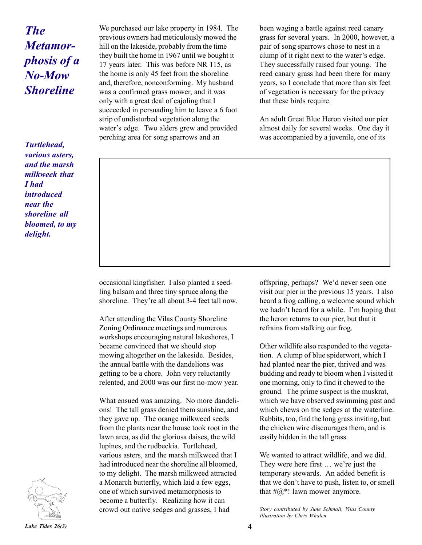## *The Metamorphosis of a No-Mow Shoreline*

*Turtlehead, various asters, and the marsh milkweek that I had introduced near the shoreline all bloomed, to my delight.*

We purchased our lake property in 1984. The previous owners had meticulously mowed the hill on the lakeside, probably from the time they built the home in 1967 until we bought it 17 years later. This was before NR 115, as the home is only 45 feet from the shoreline and, therefore, nonconforming. My husband was a confirmed grass mower, and it was only with a great deal of cajoling that I succeeded in persuading him to leave a 6 foot strip of undisturbed vegetation along the water's edge. Two alders grew and provided perching area for song sparrows and an

been waging a battle against reed canary grass for several years. In 2000, however, a pair of song sparrows chose to nest in a clump of it right next to the water's edge. They successfully raised four young. The reed canary grass had been there for many years, so I conclude that more than six feet of vegetation is necessary for the privacy that these birds require.

An adult Great Blue Heron visited our pier almost daily for several weeks. One day it was accompanied by a juvenile, one of its

occasional kingfisher. I also planted a seedling balsam and three tiny spruce along the shoreline. They're all about 3-4 feet tall now.

After attending the Vilas County Shoreline Zoning Ordinance meetings and numerous workshops encouraging natural lakeshores, I became convinced that we should stop mowing altogether on the lakeside. Besides, the annual battle with the dandelions was getting to be a chore. John very reluctantly relented, and 2000 was our first no-mow year.

What ensued was amazing. No more dandelions! The tall grass denied them sunshine, and they gave up. The orange milkweed seeds from the plants near the house took root in the lawn area, as did the gloriosa daises, the wild lupines, and the rudbeckia. Turtlehead, various asters, and the marsh milkweed that I had introduced near the shoreline all bloomed, to my delight. The marsh milkweed attracted a Monarch butterfly, which laid a few eggs, one of which survived metamorphosis to become a butterfly. Realizing how it can crowd out native sedges and grasses, I had

offspring, perhaps? We'd never seen one visit our pier in the previous 15 years. I also heard a frog calling, a welcome sound which we hadn't heard for a while. I'm hoping that the heron returns to our pier, but that it refrains from stalking our frog.

Other wildlife also responded to the vegetation. A clump of blue spiderwort, which I had planted near the pier, thrived and was budding and ready to bloom when I visited it one morning, only to find it chewed to the ground. The prime suspect is the muskrat, which we have observed swimming past and which chews on the sedges at the waterline. Rabbits, too, find the long grass inviting, but the chicken wire discourages them, and is easily hidden in the tall grass.

We wanted to attract wildlife, and we did. They were here first ... we're just the temporary stewards. An added benefit is that we don't have to push, listen to, or smell that  $\#@$ <sup>\*</sup>! lawn mower anymore.

*Story contributed by June Schmall, Vilas County Illustration by Chris Whalen*

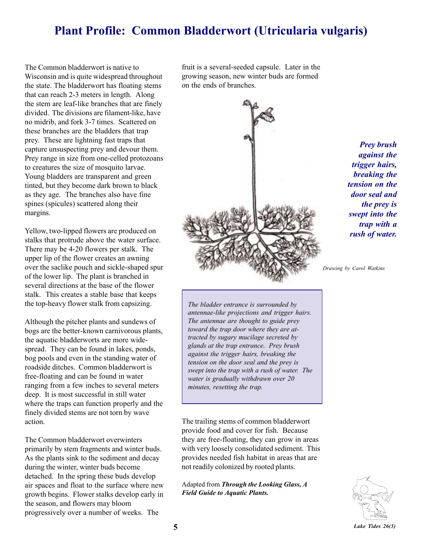### **Plant Profile: Common Bladderwort (Utricularia vulgaris)**

The Common bladderwort is native to Wisconsin and is quite widespread throughout the state. The bladderwort has floating stems that can reach 2-3 meters in length. Along the stem are leaf-like branches that are finely divided. The divisions are filament-like, have no midrib, and fork 3-7 times. Scattered on these branches are the bladders that trap prey. These are lightning fast traps that capture unsuspecting prey and devour them. Prey range in size from one-celled protozoans to creatures the size of mosquito larvae. Young bladders are transparent and green tinted, but they become dark brown to black as they age. The branches also have fine spines (spicules) scattered along their margins.

Yellow, two-lipped flowers are produced on stalks that protrude above the water surface. There may be 4-20 flowers per stalk. The upper lip of the flower creates an awning over the saclike pouch and sickle-shaped spur of the lower lip. The plant is branched in several directions at the base of the flower stalk. This creates a stable base that keeps the top-heavy flower stalk from capsizing.

Although the pitcher plants and sundews of bogs are the better-known carnivorous plants, the aquatic bladderworts are more widespread. They can be found in lakes, ponds, bog pools and even in the standing water of roadside ditches. Common bladderwort is free-floating and can be found in water ranging from a few inches to several meters deep. It is most successful in still water where the traps can function properly and the finely divided stems are not torn by wave action.

The Common bladderwort overwinters primarily by stem fragments and winter buds. As the plants sink to the sediment and decay during the winter, winter buds become detached. In the spring these buds develop air spaces and float to the surface where new growth begins. Flower stalks develop early in the season, and flowers may bloom progressively over a number of weeks. The

fruit is a several-seeded capsule. Later in the growing season, new winter buds are formed on the ends of branches.



*Prey brush against the trigger hairs, breaking the tension on the door seal and the prey is swept into the trap with a rush of water.*

*Drawing by Carol Watkins*

*The bladder entrance is surrounded by antennae-like projections and trigger hairs. The antennae are thought to guide prey toward the trap door where they are attracted by sugary mucilage secreted by glands at the trap entrance. Prey brush against the trigger hairs, breaking the tension on the door seal and the prey is swept into the trap with a rush of water. The water is gradually withdrawn over 20 minutes, resetting the trap.*

The trailing stems of common bladderwort provide food and cover for fish. Because they are free-floating, they can grow in areas with very loosely consolidated sediment. This provides needed fish habitat in areas that are not readily colonized by rooted plants.

Adapted from *Through the Looking Glass, A Field Guide to Aquatic Plants.*

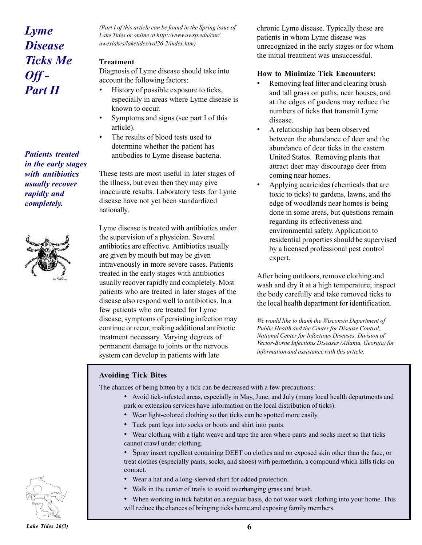## *Lyme Disease Ticks Me Off - Part II*

*Patients treated in the early stages with antibiotics usually recover rapidly and completely.*



*(Part I of this article can be found in the Spring issue of Lake Tides or online at http://www.uwsp.edu/cnr/ uwexlakes/laketides/vol26-2/index.htm)*

#### **Treatment**

Diagnosis of Lyme disease should take into account the following factors:

- History of possible exposure to ticks, especially in areas where Lyme disease is known to occur.
- Symptoms and signs (see part I of this article).
- The results of blood tests used to determine whether the patient has antibodies to Lyme disease bacteria.

These tests are most useful in later stages of the illness, but even then they may give inaccurate results. Laboratory tests for Lyme disease have not yet been standardized nationally.

Lyme disease is treated with antibiotics under the supervision of a physician. Several antibiotics are effective. Antibiotics usually are given by mouth but may be given intravenously in more severe cases. Patients treated in the early stages with antibiotics usually recover rapidly and completely. Most patients who are treated in later stages of the disease also respond well to antibiotics. In a few patients who are treated for Lyme disease, symptoms of persisting infection may continue or recur, making additional antibiotic treatment necessary. Varying degrees of permanent damage to joints or the nervous system can develop in patients with late

chronic Lyme disease. Typically these are patients in whom Lyme disease was unrecognized in the early stages or for whom the initial treatment was unsuccessful.

#### **How to Minimize Tick Encounters:**

- Removing leaf litter and clearing brush and tall grass on paths, near houses, and at the edges of gardens may reduce the numbers of ticks that transmit Lyme disease.
- A relationship has been observed between the abundance of deer and the abundance of deer ticks in the eastern United States. Removing plants that attract deer may discourage deer from coming near homes.
- Applying acaricides (chemicals that are toxic to ticks) to gardens, lawns, and the edge of woodlands near homes is being done in some areas, but questions remain regarding its effectiveness and environmental safety. Application to residential properties should be supervised by a licensed professional pest control expert.

After being outdoors, remove clothing and wash and dry it at a high temperature; inspect the body carefully and take removed ticks to the local health department for identification.

*We would like to thank the Wisconsin Department of Public Health and the Center for Disease Control, National Center for Infectious Diseases, Division of Vector-Borne Infectious Diseases (Atlanta, Georgia) for information and assistance with this article.*

#### **Avoiding Tick Bites**

The chances of being bitten by a tick can be decreased with a few precautions:

- ï Avoid tick-infested areas, especially in May, June, and July (many local health departments and park or extension services have information on the local distribution of ticks).
- Wear light-colored clothing so that ticks can be spotted more easily.
- Tuck pant legs into socks or boots and shirt into pants.
- ï Wear clothing with a tight weave and tape the area where pants and socks meet so that ticks cannot crawl under clothing.
- Spray insect repellent containing DEET on clothes and on exposed skin other than the face, or treat clothes (especially pants, socks, and shoes) with permethrin, a compound which kills ticks on contact.
- Wear a hat and a long-sleeved shirt for added protection.
- Walk in the center of trails to avoid overhanging grass and brush.
- ï When working in tick habitat on a regular basis, do not wear work clothing into your home. This will reduce the chances of bringing ticks home and exposing family members.

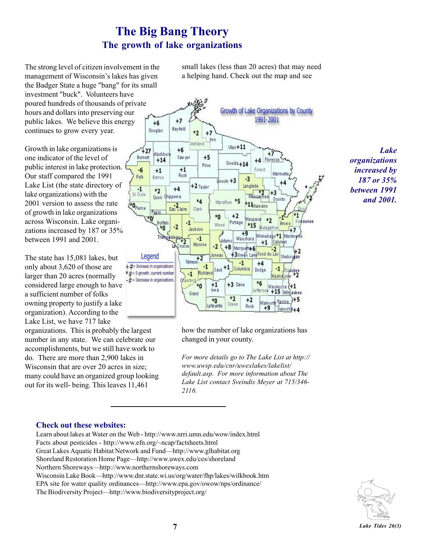## **The Big Bang Theory The growth of lake organizations**

The strong level of citizen involvement in the management of Wisconsin's lakes has given the Badger State a huge "bang" for its small investment "buck". Volunteers have poured hundreds of thousands of private hours and dollars into preserving our public lakes. We believe this energy continues to grow every year.

Growth in lake organizations is one indicator of the level of public interest in lake protection. Our staff compared the 1991 Lake List (the state directory of lake organizations) with the 2001 version to assess the rate of growth in lake organizations across Wisconsin. Lake organizations increased by 187 or 35% between 1991 and 2001.

The state has 15,081 lakes, but only about 3,620 of those are larger than 20 acres (normally considered large enough to have a sufficient number of folks owning property to justify a lake organization). According to the Lake List, we have 717 lake

organizations. This is probably the largest number in any state. We can celebrate our accomplishments, but we still have work to do. There are more than 2,900 lakes in Wisconsin that are over 20 acres in size; many could have an organized group looking out for its well- being. This leaves 11,461

small lakes (less than 20 acres) that may need a helping hand. Check out the map and see



*Lake organizations increased by 187 or 35% between 1991 and 2001.*

how the number of lake organizations has changed in your county.

*For more details go to The Lake List at http:// www.uwsp.edu/cnr/uwexlakes/lakelist/ default.asp. For more information about The Lake List contact Sveindis Meyer at 715/346- 2116.*

#### **Check out these websites:**

Learn about lakes at Water on the Web - http://www.nrri.umn.edu/wow/index.html Facts about pesticides - http://www.efn.org/~ncap/factsheets.html Great Lakes Aquatic Habitat Network and Fund—http://www.glhabitat.org Shoreland Restoration Home Page—http://www.uwex.edu/ces/shoreland Northern Shoreways—http://www.northernshoreways.com Wisconsin Lake Book—http://www.dnr.state.wi.us/org/water/fhp/lakes/wilkbook.htm EPA site for water quality ordinances—http://www.epa.gov/owow/nps/ordinance/ The Biodiversity Project—http://www.biodiversityproject.org/

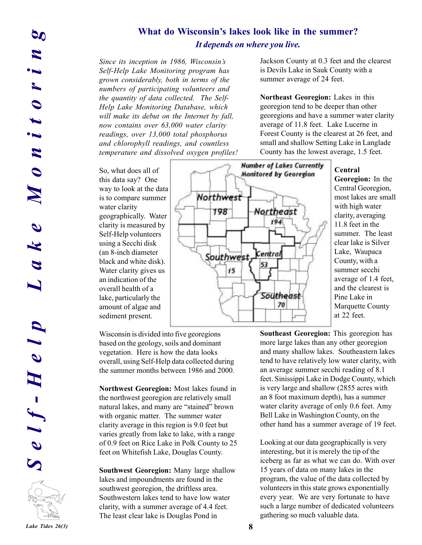#### What do Wisconsin's lakes look like in the summer? *It depends on where you live.*

*Since its inception in 1986, Wisconsinís Self-Help Lake Monitoring program has grown considerably, both in terms of the numbers of participating volunteers and the quantity of data collected. The Self-Help Lake Monitoring Database, which will make its debut on the Internet by fall, now contains over 63,000 water clarity readings, over 13,000 total phosphorus and chlorophyll readings, and countless temperature and dissolved oxygen profiles!*

So, what does all of this data say? One way to look at the data is to compare summer water clarity geographically. Water clarity is measured by Self-Help volunteers using a Secchi disk (an 8-inch diameter black and white disk). Water clarity gives us an indication of the overall health of a lake, particularly the amount of algae and sediment present.

Wisconsin is divided into five georegions based on the geology, soils and dominant vegetation. Here is how the data looks overall, using Self-Help data collected during the summer months between 1986 and 2000.

**Northwest Georegion:** Most lakes found in the northwest georegion are relatively small natural lakes, and many are "stained" brown with organic matter. The summer water clarity average in this region is 9.0 feet but varies greatly from lake to lake, with a range of 0.9 feet on Rice Lake in Polk County to 25 feet on Whitefish Lake, Douglas County.

**Southwest Georegion:** Many large shallow lakes and impoundments are found in the southwest georegion, the driftless area. Southwestern lakes tend to have low water clarity, with a summer average of 4.4 feet. The least clear lake is Douglas Pond in

Jackson County at 0.3 feet and the clearest is Devils Lake in Sauk County with a summer average of 24 feet.

**Northeast Georegion:** Lakes in this georegion tend to be deeper than other georegions and have a summer water clarity average of 11.8 feet. Lake Lucerne in Forest County is the clearest at 26 feet, and small and shallow Setting Lake in Langlade County has the lowest average, 1.5 feet.



#### **Central**

**Georegion:** In the Central Georegion, most lakes are small with high water clarity, averaging 11.8 feet in the summer. The least clear lake is Silver Lake, Waupaca County, with a summer secchi average of 1.4 feet, and the clearest is Pine Lake in Marquette County at 22 feet.

**Southeast Georegion:** This georegion has more large lakes than any other georegion and many shallow lakes. Southeastern lakes tend to have relatively low water clarity, with an average summer secchi reading of 8.1 feet. Sinissippi Lake in Dodge County, which is very large and shallow (2855 acres with an 8 foot maximum depth), has a summer water clarity average of only 0.6 feet. Amy Bell Lake in Washington County, on the other hand has a summer average of 19 feet.

Looking at our data geographically is very interesting, but it is merely the tip of the iceberg as far as what we can do. With over 15 years of data on many lakes in the program, the value of the data collected by volunteers in this state grows exponentially every year. We are very fortunate to have such a large number of dedicated volunteers gathering so much valuable data.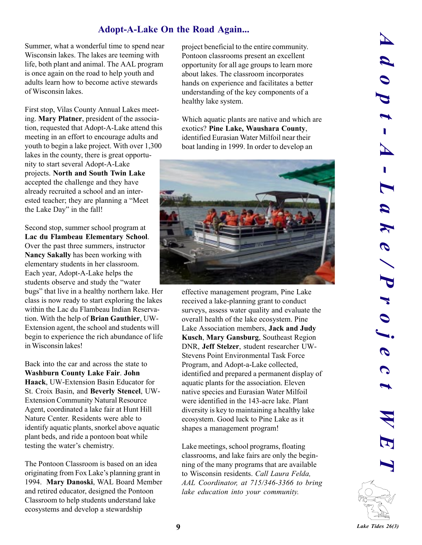#### **Adopt-A-Lake On the Road Again...**

Summer, what a wonderful time to spend near Wisconsin lakes. The lakes are teeming with life, both plant and animal. The AAL program is once again on the road to help youth and adults learn how to become active stewards of Wisconsin lakes.

First stop, Vilas County Annual Lakes meeting. **Mary Platner**, president of the association, requested that Adopt-A-Lake attend this meeting in an effort to encourage adults and youth to begin a lake project. With over 1,300 lakes in the county, there is great opportunity to start several Adopt-A-Lake projects. **North and South Twin Lake** accepted the challenge and they have already recruited a school and an interested teacher; they are planning a "Meet the Lake Day" in the fall!

Second stop, summer school program at **Lac du Flambeau Elementary School**. Over the past three summers, instructor **Nancy Sakally** has been working with elementary students in her classroom. Each year, Adopt-A-Lake helps the students observe and study the "water" bugs" that live in a healthy northern lake. Her class is now ready to start exploring the lakes within the Lac du Flambeau Indian Reservation. With the help of **Brian Gauthier**, UW-Extension agent, the school and students will begin to experience the rich abundance of life in Wisconsin lakes!

Back into the car and across the state to **Washburn County Lake Fair**. **John Haack**, UW-Extension Basin Educator for St. Croix Basin, and **Beverly Stencel**, UW-Extension Community Natural Resource Agent, coordinated a lake fair at Hunt Hill Nature Center. Residents were able to identify aquatic plants, snorkel above aquatic plant beds, and ride a pontoon boat while testing the water's chemistry.

The Pontoon Classroom is based on an idea originating from Fox Lake's planning grant in 1994. **Mary Danoski**, WAL Board Member and retired educator, designed the Pontoon Classroom to help students understand lake ecosystems and develop a stewardship

project beneficial to the entire community. Pontoon classrooms present an excellent opportunity for all age groups to learn more about lakes. The classroom incorporates hands on experience and facilitates a better understanding of the key components of a healthy lake system.

Which aquatic plants are native and which are exotics? **Pine Lake, Waushara County**, identified Eurasian Water Milfoil near their boat landing in 1999. In order to develop an



effective management program, Pine Lake received a lake-planning grant to conduct surveys, assess water quality and evaluate the overall health of the lake ecosystem. Pine Lake Association members, **Jack and Judy Kusch**, **Mary Gansburg**, Southeast Region DNR, **Jeff Stelzer**, student researcher UW-Stevens Point Environmental Task Force Program, and Adopt-a-Lake collected, identified and prepared a permanent display of aquatic plants for the association. Eleven native species and Eurasian Water Milfoil were identified in the 143-acre lake. Plant diversity is key to maintaining a healthy lake ecosystem. Good luck to Pine Lake as it shapes a management program!

Lake meetings, school programs, floating classrooms, and lake fairs are only the beginning of the many programs that are available to Wisconsin residents. *Call Laura Felda, AAL Coordinator, at 715/346-3366 to bring lake education into your community.*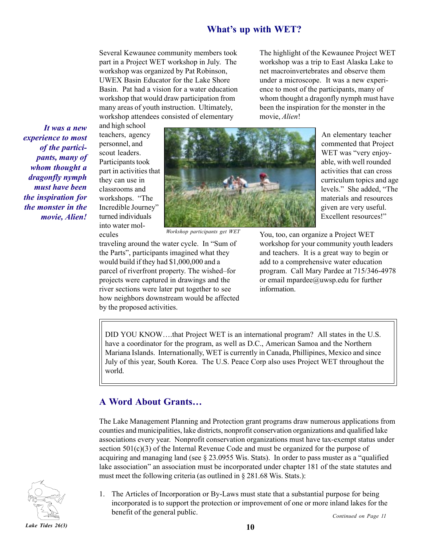#### **What's up with WET?**

Several Kewaunee community members took part in a Project WET workshop in July. The workshop was organized by Pat Robinson, UWEX Basin Educator for the Lake Shore Basin. Pat had a vision for a water education workshop that would draw participation from many areas of youth instruction. Ultimately, workshop attendees consisted of elementary

The highlight of the Kewaunee Project WET workshop was a trip to East Alaska Lake to net macroinvertebrates and observe them under a microscope. It was a new experience to most of the participants, many of whom thought a dragonfly nymph must have been the inspiration for the monster in the movie, *Alien*!

*It was a new experience to most of the participants, many of whom thought a dragonfly nymph must have been the inspiration for the monster in the movie, Alien!*

and high school teachers, agency personnel, and scout leaders. Participants took part in activities that they can use in classrooms and workshops. "The Incredible Journey" turned individuals into water molecules



*Workshop participants get WET*

traveling around the water cycle. In "Sum of the Parts", participants imagined what they would build if they had \$1,000,000 and a parcel of riverfront property. The wished-for projects were captured in drawings and the river sections were later put together to see how neighbors downstream would be affected by the proposed activities.

An elementary teacher commented that Project WET was "very enjoyable, with well rounded activities that can cross curriculum topics and age levels." She added, "The materials and resources given are very useful. Excellent resources!"

You, too, can organize a Project WET workshop for your community youth leaders and teachers. It is a great way to begin or add to a comprehensive water education program. Call Mary Pardee at 715/346-4978 or email mpardee@uwsp.edu for further information.

DID YOU KNOW....that Project WET is an international program? All states in the U.S. have a coordinator for the program, as well as D.C., American Samoa and the Northern Mariana Islands. Internationally, WET is currently in Canada, Phillipines, Mexico and since July of this year, South Korea. The U.S. Peace Corp also uses Project WET throughout the world.

#### A Word About Grants...

The Lake Management Planning and Protection grant programs draw numerous applications from counties and municipalities, lake districts, nonprofit conservation organizations and qualified lake associations every year. Nonprofit conservation organizations must have tax-exempt status under section  $501(c)(3)$  of the Internal Revenue Code and must be organized for the purpose of acquiring and managing land (see  $\S$  23.0955 Wis. Stats). In order to pass muster as a "qualified lake association" an association must be incorporated under chapter 181 of the state statutes and must meet the following criteria (as outlined in  $\S 281.68$  Wis. Stats.):



1. The Articles of Incorporation or By-Laws must state that a substantial purpose for being incorporated is to support the protection or improvement of one or more inland lakes for the benefit of the general public. *Continued on Page 11*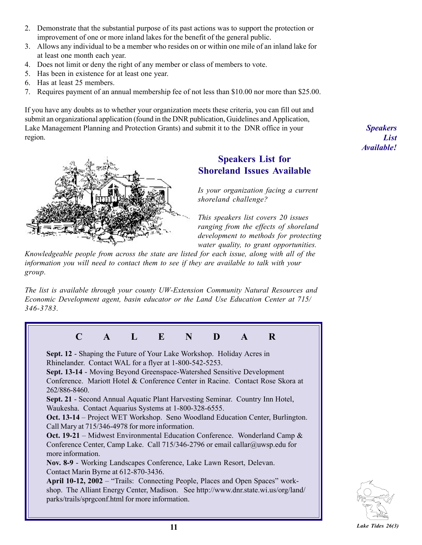- 2. Demonstrate that the substantial purpose of its past actions was to support the protection or improvement of one or more inland lakes for the benefit of the general public.
- 3. Allows any individual to be a member who resides on or within one mile of an inland lake for at least one month each year.
- 4. Does not limit or deny the right of any member or class of members to vote.
- 5. Has been in existence for at least one year.
- 6. Has at least 25 members.
- 7. Requires payment of an annual membership fee of not less than \$10.00 nor more than \$25.00.

If you have any doubts as to whether your organization meets these criteria, you can fill out and submit an organizational application (found in the DNR publication, Guidelines and Application, Lake Management Planning and Protection Grants) and submit it to the DNR office in your region.



#### **Speakers List for Shoreland Issues Available**

*Is your organization facing a current shoreland challenge?*

*This speakers list covers 20 issues ranging from the effects of shoreland development to methods for protecting water quality, to grant opportunities.*

*Knowledgeable people from across the state are listed for each issue, along with all of the information you will need to contact them to see if they are available to talk with your group.*

*The list is available through your county UW-Extension Community Natural Resources and Economic Development agent, basin educator or the Land Use Education Center at 715/ 346-3783.*





*Speakers List Available!*